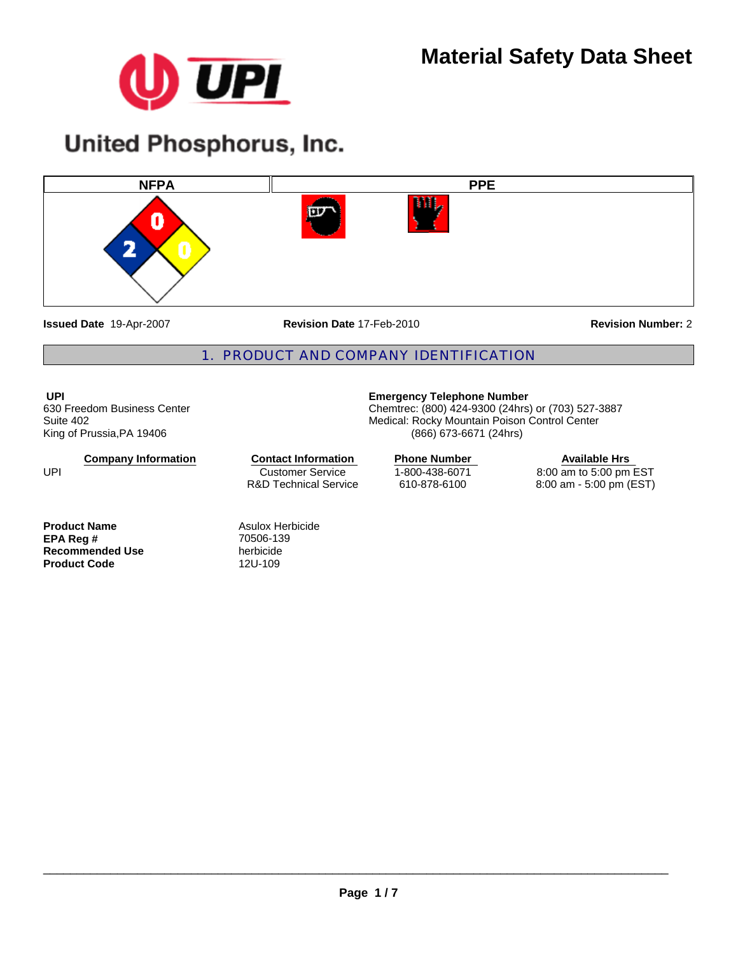

# **United Phosphorus, Inc.**



**Issued Date** 19-Apr-2007

**Revision Date** 17-Feb-2010

**Revision Number:** 2

# 1. PRODUCT AND COMPANY IDENTIFICATION

**UPI**  630 Freedom Business Center Suite 402 King of Prussia,PA 19406

**Company Information**

Customer Service R&D Technical Service **Contact Information Phone Number** 

**Product Name**<br> **EPA Reg #**<br> **Asulox Herbicide**<br> **ASURE 2018-139**<br> **ASURE 2019-139 EPA Reg #** 70506-13<br> **Recommended Use** herbicide **Recommended Use** herbicide<br> **Product Code** 12U-109 **Product Code** 

UPI

# **Emergency Telephone Number**

Chemtrec: (800) 424-9300 (24hrs) or (703) 527-3887 Medical: Rocky Mountain Poison Control Center (866) 673-6671 (24hrs)

> 1-800-438-6071 610-878-6100

**Available Hrs**  8:00 am to 5:00 pm EST 8:00 am - 5:00 pm (EST)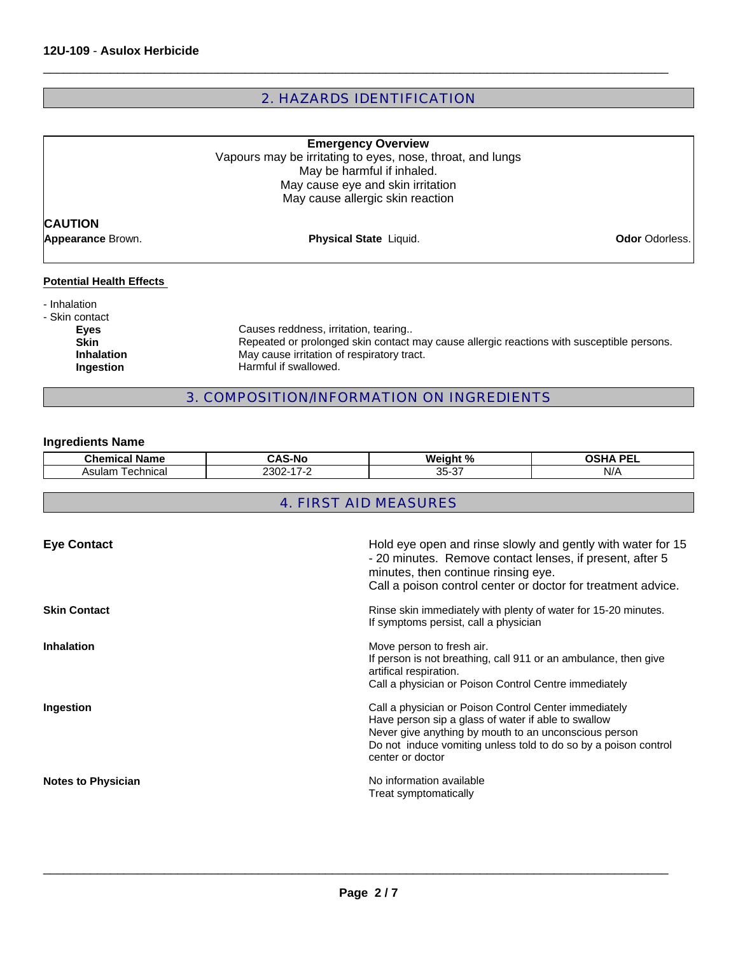# 2. HAZARDS IDENTIFICATION

 $\Box$ 

|                                     | <b>Emergency Overview</b><br>Vapours may be irritating to eyes, nose, throat, and lungs<br>May be harmful if inhaled.<br>May cause eye and skin irritation<br>May cause allergic skin reaction |                       |
|-------------------------------------|------------------------------------------------------------------------------------------------------------------------------------------------------------------------------------------------|-----------------------|
| <b>CAUTION</b><br>Appearance Brown. | Physical State Liquid.                                                                                                                                                                         | <b>Odor</b> Odorless. |
| <b>Potential Health Effects</b>     |                                                                                                                                                                                                |                       |
| - Inhalation<br>- Skin contact      |                                                                                                                                                                                                |                       |
| <b>Eyes</b>                         | Causes reddness, irritation, tearing                                                                                                                                                           |                       |
| <b>Skin</b><br><b>Inhalation</b>    | Repeated or prolonged skin contact may cause allergic reactions with susceptible persons.<br>May cause irritation of respiratory tract.                                                        |                       |
| Ingestion                           | Harmful if swallowed.                                                                                                                                                                          |                       |

# 3. COMPOSITION/INFORMATION ON INGREDIENTS

# **Ingredients Name**

| nom <sup>-</sup><br>- -<br>Name | $\epsilon$<br>.S-Nr | $W_{\mathbf{Q}}$<br>$\mathbf{r}$<br>uant<br>70 | $- -$<br>-- |
|---------------------------------|---------------------|------------------------------------------------|-------------|
| echnical<br>Asulam              | n,<br>_             | $\sim$<br>n r<br>$\sim$<br>. پ-<br>ັບ          | .<br>N/A    |

# 4. FIRST AID MEASURES

| <b>Eye Contact</b>        | Hold eye open and rinse slowly and gently with water for 15<br>- 20 minutes. Remove contact lenses, if present, after 5<br>minutes, then continue rinsing eye.<br>Call a poison control center or doctor for treatment advice.                               |
|---------------------------|--------------------------------------------------------------------------------------------------------------------------------------------------------------------------------------------------------------------------------------------------------------|
| <b>Skin Contact</b>       | Rinse skin immediately with plenty of water for 15-20 minutes.<br>If symptoms persist, call a physician                                                                                                                                                      |
| <b>Inhalation</b>         | Move person to fresh air.<br>If person is not breathing, call 911 or an ambulance, then give<br>artifical respiration.<br>Call a physician or Poison Control Centre immediately                                                                              |
| Ingestion                 | Call a physician or Poison Control Center immediately<br>Have person sip a glass of water if able to swallow<br>Never give anything by mouth to an unconscious person<br>Do not induce vomiting unless told to do so by a poison control<br>center or doctor |
| <b>Notes to Physician</b> | No information available<br>Treat symptomatically                                                                                                                                                                                                            |

 $\_$  ,  $\_$  ,  $\_$  ,  $\_$  ,  $\_$  ,  $\_$  ,  $\_$  ,  $\_$  ,  $\_$  ,  $\_$  ,  $\_$  ,  $\_$  ,  $\_$  ,  $\_$  ,  $\_$  ,  $\_$  ,  $\_$  ,  $\_$  ,  $\_$  ,  $\_$  ,  $\_$  ,  $\_$  ,  $\_$  ,  $\_$  ,  $\_$  ,  $\_$  ,  $\_$  ,  $\_$  ,  $\_$  ,  $\_$  ,  $\_$  ,  $\_$  ,  $\_$  ,  $\_$  ,  $\_$  ,  $\_$  ,  $\_$  ,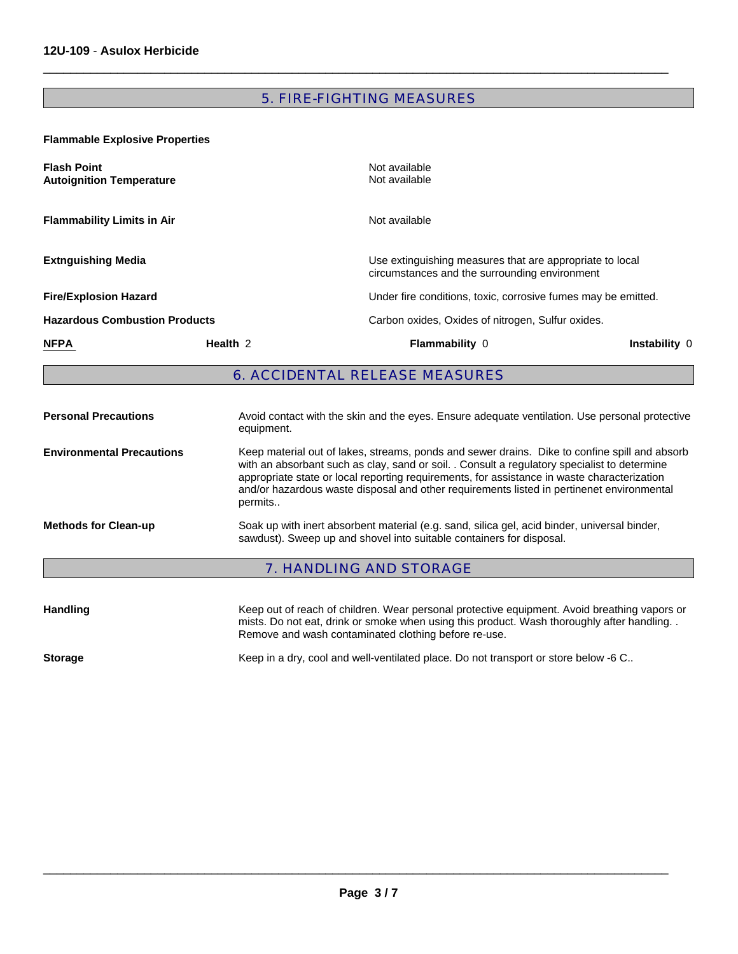# 5. FIRE-FIGHTING MEASURES

 $\Box$ 

**Flammable Explosive Properties** 

| <b>Flash Point</b><br><b>Autoignition Temperature</b> |                     | Not available<br>Not available                                                                                                                                                                                                                                                                                                                                                            |                                                               |  |
|-------------------------------------------------------|---------------------|-------------------------------------------------------------------------------------------------------------------------------------------------------------------------------------------------------------------------------------------------------------------------------------------------------------------------------------------------------------------------------------------|---------------------------------------------------------------|--|
| <b>Flammability Limits in Air</b>                     |                     | Not available                                                                                                                                                                                                                                                                                                                                                                             |                                                               |  |
| <b>Extnguishing Media</b>                             |                     | Use extinguishing measures that are appropriate to local<br>circumstances and the surrounding environment                                                                                                                                                                                                                                                                                 |                                                               |  |
| <b>Fire/Explosion Hazard</b>                          |                     |                                                                                                                                                                                                                                                                                                                                                                                           | Under fire conditions, toxic, corrosive fumes may be emitted. |  |
| <b>Hazardous Combustion Products</b>                  |                     |                                                                                                                                                                                                                                                                                                                                                                                           | Carbon oxides, Oxides of nitrogen, Sulfur oxides.             |  |
| <b>NFPA</b>                                           | Health <sub>2</sub> | <b>Flammability 0</b>                                                                                                                                                                                                                                                                                                                                                                     | Instability 0                                                 |  |
| <b>6. ACCIDENTAL RELEASE MEASURES</b>                 |                     |                                                                                                                                                                                                                                                                                                                                                                                           |                                                               |  |
| <b>Personal Precautions</b>                           | equipment.          | Avoid contact with the skin and the eyes. Ensure adequate ventilation. Use personal protective                                                                                                                                                                                                                                                                                            |                                                               |  |
| <b>Environmental Precautions</b>                      | permits             | Keep material out of lakes, streams, ponds and sewer drains. Dike to confine spill and absorb<br>with an absorbant such as clay, sand or soil. . Consult a regulatory specialist to determine<br>appropriate state or local reporting requirements, for assistance in waste characterization<br>and/or hazardous waste disposal and other requirements listed in pertinenet environmental |                                                               |  |
| <b>Methods for Clean-up</b>                           |                     | Soak up with inert absorbent material (e.g. sand, silica gel, acid binder, universal binder,<br>sawdust). Sweep up and shovel into suitable containers for disposal.                                                                                                                                                                                                                      |                                                               |  |
|                                                       |                     | <b>7. HANDLING AND STORAGE</b>                                                                                                                                                                                                                                                                                                                                                            |                                                               |  |

| <b>Handling</b> | Keep out of reach of children. Wear personal protective equipment. Avoid breathing vapors or<br>mists. Do not eat, drink or smoke when using this product. Wash thoroughly after handling. .<br>Remove and wash contaminated clothing before re-use. |
|-----------------|------------------------------------------------------------------------------------------------------------------------------------------------------------------------------------------------------------------------------------------------------|
| <b>Storage</b>  | Keep in a dry, cool and well-ventilated place. Do not transport or store below -6 C                                                                                                                                                                  |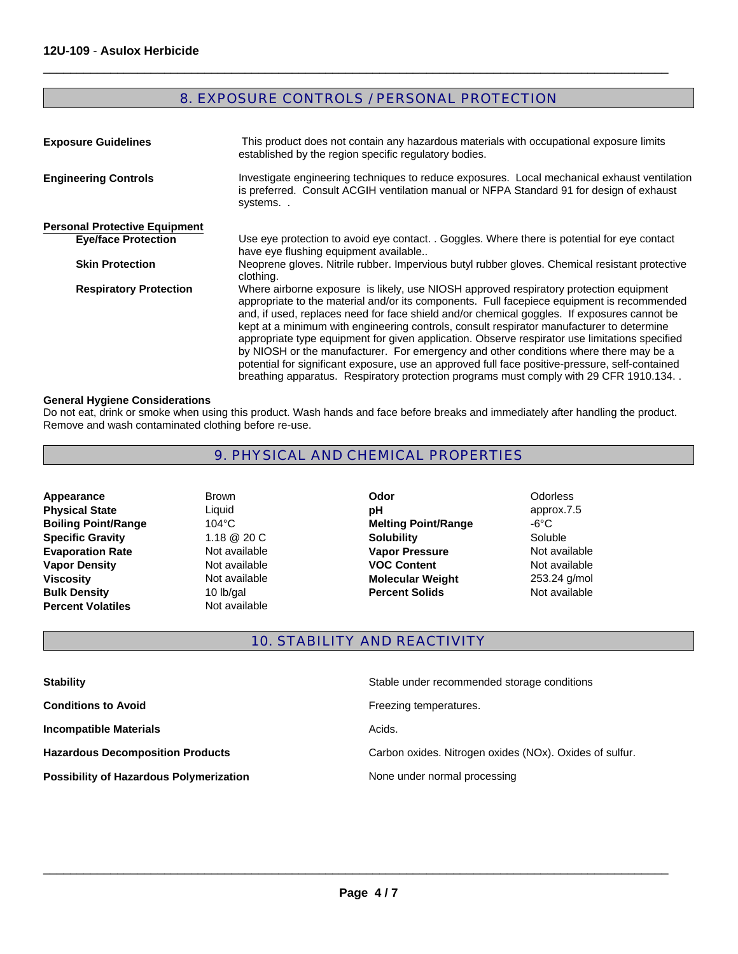# 8. EXPOSURE CONTROLS / PERSONAL PROTECTION

 $\Box$ 

| <b>Exposure Guidelines</b>           | This product does not contain any hazardous materials with occupational exposure limits<br>established by the region specific regulatory bodies.                                                                                                                                                                                                                                                                                                                                                                                                                                                                                                                                                                                                                        |
|--------------------------------------|-------------------------------------------------------------------------------------------------------------------------------------------------------------------------------------------------------------------------------------------------------------------------------------------------------------------------------------------------------------------------------------------------------------------------------------------------------------------------------------------------------------------------------------------------------------------------------------------------------------------------------------------------------------------------------------------------------------------------------------------------------------------------|
| <b>Engineering Controls</b>          | Investigate engineering techniques to reduce exposures. Local mechanical exhaust ventilation<br>is preferred. Consult ACGIH ventilation manual or NFPA Standard 91 for design of exhaust<br>systems                                                                                                                                                                                                                                                                                                                                                                                                                                                                                                                                                                     |
| <b>Personal Protective Equipment</b> |                                                                                                                                                                                                                                                                                                                                                                                                                                                                                                                                                                                                                                                                                                                                                                         |
| <b>Eye/face Protection</b>           | Use eye protection to avoid eye contact. . Goggles. Where there is potential for eye contact<br>have eye flushing equipment available                                                                                                                                                                                                                                                                                                                                                                                                                                                                                                                                                                                                                                   |
| <b>Skin Protection</b>               | Neoprene gloves. Nitrile rubber. Impervious butyl rubber gloves. Chemical resistant protective<br>clothing.                                                                                                                                                                                                                                                                                                                                                                                                                                                                                                                                                                                                                                                             |
| <b>Respiratory Protection</b>        | Where airborne exposure is likely, use NIOSH approved respiratory protection equipment<br>appropriate to the material and/or its components. Full facepiece equipment is recommended<br>and, if used, replaces need for face shield and/or chemical goggles. If exposures cannot be<br>kept at a minimum with engineering controls, consult respirator manufacturer to determine<br>appropriate type equipment for given application. Observe respirator use limitations specified<br>by NIOSH or the manufacturer. For emergency and other conditions where there may be a<br>potential for significant exposure, use an approved full face positive-pressure, self-contained<br>breathing apparatus. Respiratory protection programs must comply with 29 CFR 1910.134 |

#### **General Hygiene Considerations**

Do not eat, drink or smoke when using this product. Wash hands and face before breaks and immediately after handling the product. Remove and wash contaminated clothing before re-use.

# 9. PHYSICAL AND CHEMICAL PROPERTIES

**Bulk Density** 10 lb/gal<br> **Percent Volatiles** Not available **Boiling Point/Range 104°C<br>
<b>Specific Gravity** 1.18 @ 20 C **Percent Volatiles Evaporation Rate Not available Physical State** Liquid **Appearance Vapor Density Not available Viscosity Not available <b>Molecular Weight Molecular Weight** 

Brown

**Percent Solids** Not available **Melting Point/Range** -6°C **Odor** Odorless **Specific Gravity <b>Solubility Solubility Solubility Soluble Solubile Solubile Vapor Pressure Not available VOC Content Not available pH** approx.7.5

253.24 g/mol

# 10. STABILITY AND REACTIVITY

| <b>Stability</b>                               | Stable under recommended storage conditions             |
|------------------------------------------------|---------------------------------------------------------|
| <b>Conditions to Avoid</b>                     | Freezing temperatures.                                  |
| <b>Incompatible Materials</b>                  | Acids.                                                  |
| <b>Hazardous Decomposition Products</b>        | Carbon oxides. Nitrogen oxides (NOx). Oxides of sulfur. |
| <b>Possibility of Hazardous Polymerization</b> | None under normal processing                            |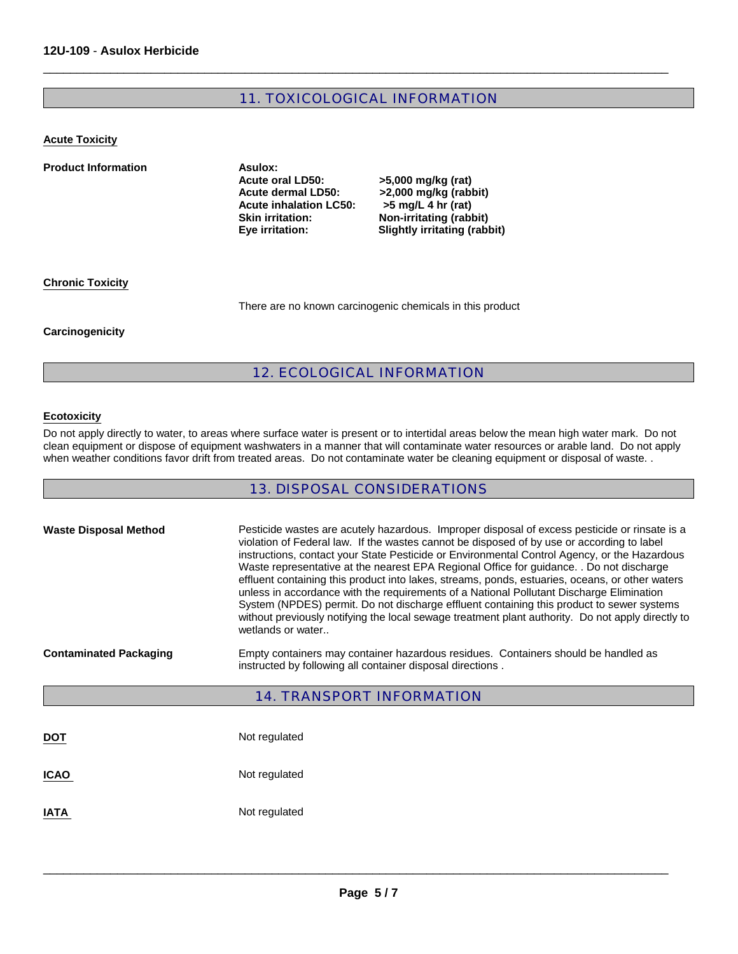# 11. TOXICOLOGICAL INFORMATION

 $\Box$ 

#### **Acute Toxicity**

**Product Information Asulox: Acute oral LD50: >5,000 mg/kg (rat)**  Acute dermal LD50: >2,000 mg/kg (rabbit)<br>Acute inhalation LC50: >5 mg/L 4 hr (rat) Acute inhalation LC50:<br>Skin irritation: **Skin irritation: Non-irritating (rabbit)**

**Slightly irritating (rabbit)** 

#### **Chronic Toxicity**

There are no known carcinogenic chemicals in this product

#### **Carcinogenicity**

# 12. ECOLOGICAL INFORMATION

### **Ecotoxicity**

Do not apply directly to water, to areas where surface water is present or to intertidal areas below the mean high water mark. Do not clean equipment or dispose of equipment washwaters in a manner that will contaminate water resources or arable land. Do not apply when weather conditions favor drift from treated areas. Do not contaminate water be cleaning equipment or disposal of waste. .

# 13. DISPOSAL CONSIDERATIONS

| <b>Waste Disposal Method</b>     | Pesticide wastes are acutely hazardous. Improper disposal of excess pesticide or rinsate is a<br>violation of Federal law. If the wastes cannot be disposed of by use or according to label<br>instructions, contact your State Pesticide or Environmental Control Agency, or the Hazardous<br>Waste representative at the nearest EPA Regional Office for guidance. . Do not discharge<br>effluent containing this product into lakes, streams, ponds, estuaries, oceans, or other waters<br>unless in accordance with the requirements of a National Pollutant Discharge Elimination<br>System (NPDES) permit. Do not discharge effluent containing this product to sewer systems<br>without previously notifying the local sewage treatment plant authority. Do not apply directly to<br>wetlands or water |  |
|----------------------------------|---------------------------------------------------------------------------------------------------------------------------------------------------------------------------------------------------------------------------------------------------------------------------------------------------------------------------------------------------------------------------------------------------------------------------------------------------------------------------------------------------------------------------------------------------------------------------------------------------------------------------------------------------------------------------------------------------------------------------------------------------------------------------------------------------------------|--|
| <b>Contaminated Packaging</b>    | Empty containers may container hazardous residues. Containers should be handled as<br>instructed by following all container disposal directions.                                                                                                                                                                                                                                                                                                                                                                                                                                                                                                                                                                                                                                                              |  |
| <b>14. TRANSPORT INFORMATION</b> |                                                                                                                                                                                                                                                                                                                                                                                                                                                                                                                                                                                                                                                                                                                                                                                                               |  |
|                                  |                                                                                                                                                                                                                                                                                                                                                                                                                                                                                                                                                                                                                                                                                                                                                                                                               |  |
| <b>DOT</b>                       | Not regulated                                                                                                                                                                                                                                                                                                                                                                                                                                                                                                                                                                                                                                                                                                                                                                                                 |  |
| <b>ICAO</b>                      | Not regulated                                                                                                                                                                                                                                                                                                                                                                                                                                                                                                                                                                                                                                                                                                                                                                                                 |  |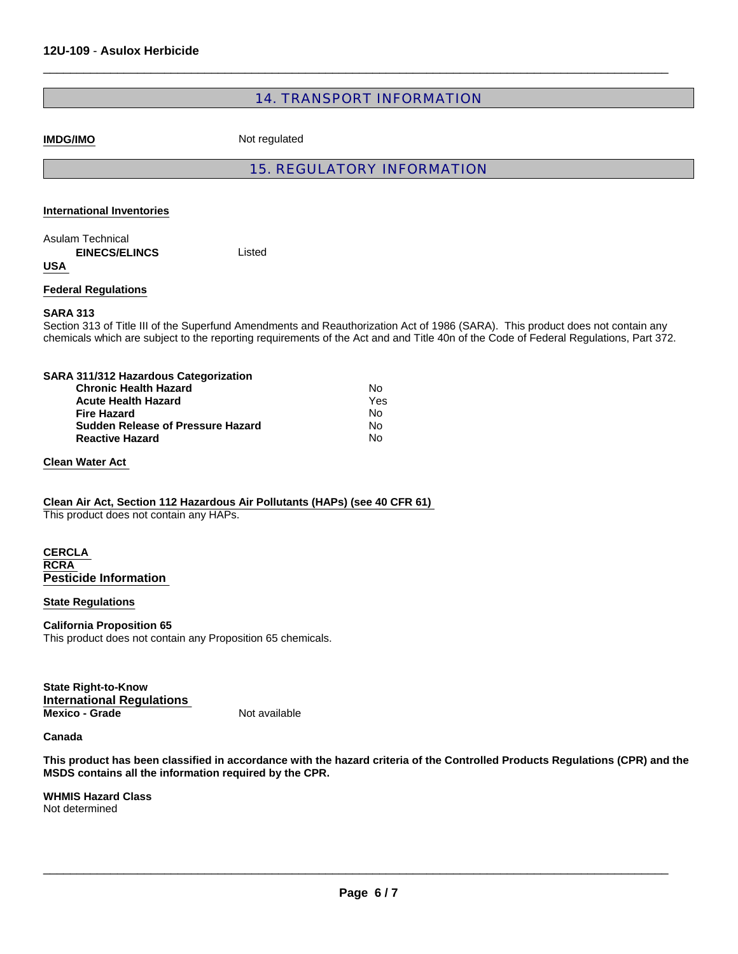# 14. TRANSPORT INFORMATION

 $\Box$ 

**IMDG/IMO** Not regulated

# 15. REGULATORY INFORMATION

#### **International Inventories**

Listed Asulam Technical  **EINECS/ELINCS** 

**USA** 

**Federal Regulations**

#### **SARA 313**

Section 313 of Title III of the Superfund Amendments and Reauthorization Act of 1986 (SARA). This product does not contain any chemicals which are subject to the reporting requirements of the Act and and Title 40n of the Code of Federal Regulations, Part 372.

| SARA 311/312 Hazardous Categorization    |     |
|------------------------------------------|-----|
| <b>Chronic Health Hazard</b>             | Nο  |
| <b>Acute Health Hazard</b>               | Yes |
| <b>Fire Hazard</b>                       | No  |
| <b>Sudden Release of Pressure Hazard</b> | No  |
| <b>Reactive Hazard</b>                   | No  |

#### **Clean Water Act**

#### **Clean Air Act, Section 112 Hazardous Air Pollutants (HAPs) (see 40 CFR 61)**

This product does not contain any HAPs.

#### **CERCLA RCRA Pesticide Information**

#### **State Regulations**

# **California Proposition 65**

This product does not contain any Proposition 65 chemicals.

**State Right-to-Know International Regulations Mexico - Grade** Not available

#### **Canada**

**This product has been classified in accordance with the hazard criteria of the Controlled Products Regulations (CPR) and the MSDS contains all the information required by the CPR.**

**WHMIS Hazard Class** Not determined